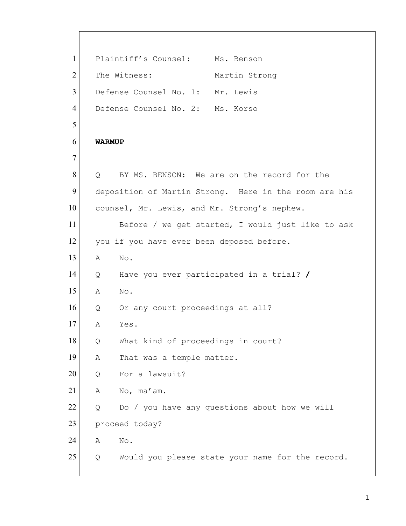1 Plaintiff's Counsel: Ms. Benson 2 The Witness: Martin Strong 3 Defense Counsel No. 1: Mr. Lewis 4 Defense Counsel No. 2: Ms. Korso 5 6 **WARMUP** 7 8 Q BY MS. BENSON: We are on the record for the 9 deposition of Martin Strong. Here in the room are his 10 counsel, Mr. Lewis, and Mr. Strong's nephew. 11 Before / we get started, I would just like to ask 12 you if you have ever been deposed before. 13 A No. 14 Q Have you ever participated in a trial? **/** 15 A No. 16 Q Or any court proceedings at all? 17 A Yes. 18 Q What kind of proceedings in court? 19 A That was a temple matter. 20 Q For a lawsuit?  $21$  A No, ma'am.  $22$  Q Do / you have any questions about how we will 23 proceed today? 24 A No. 25 | Q Would you please state your name for the record.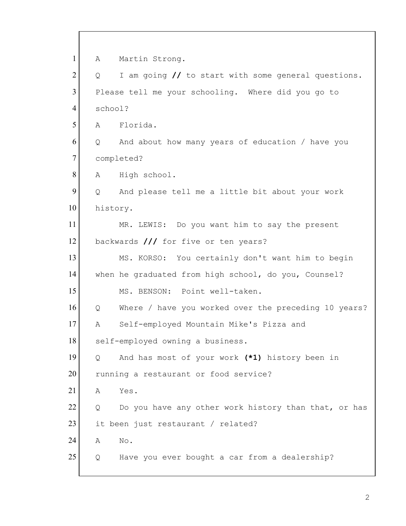1 A Martin Strong. 2 Q I am going // to start with some general questions. 3 Please tell me your schooling. Where did you go to 4 school? 5 A Florida. 6 Q And about how many years of education / have you 7 completed? 8 A High school.  $9$  Q And please tell me a little bit about your work 10 history. 11 MR. LEWIS: Do you want him to say the present 12 backwards **///** for five or ten years? 13 MS. KORSO: You certainly don't want him to begin 14 when he graduated from high school, do you, Counsel? 15 MS. BENSON: Point well-taken. 16 Q Where / have you worked over the preceding 10 years? 17 A Self-employed Mountain Mike's Pizza and 18 self-employed owning a business. 19 Q And has most of your work **(\*1)** history been in 20 running a restaurant or food service? 21 A Yes.  $22$  Q Do you have any other work history than that, or has 23 it been just restaurant / related? 24 A No. 25 | Q Have you ever bought a car from a dealership?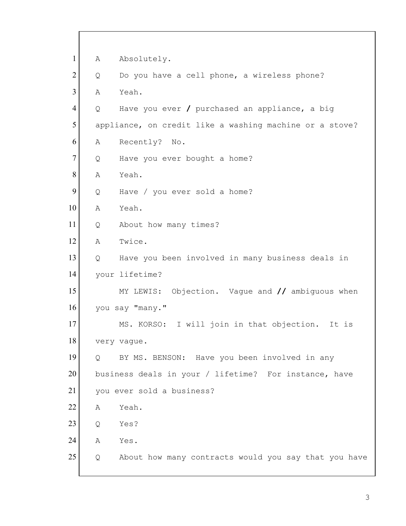| $\mathbf{1}$   | Α              | Absolutely.                                             |
|----------------|----------------|---------------------------------------------------------|
| $\overline{2}$ | Q              | Do you have a cell phone, a wireless phone?             |
| 3              | Α              | Yeah.                                                   |
| 4              | Q              | Have you ever / purchased an appliance, a big           |
| 5              |                | appliance, on credit like a washing machine or a stove? |
| 6              | Α              | Recently? No.                                           |
| $\tau$         | Q              | Have you ever bought a home?                            |
| 8              | Α              | Yeah.                                                   |
| 9              | Q              | Have / you ever sold a home?                            |
| 10             | Α              | Yeah.                                                   |
| 11             | Q              | About how many times?                                   |
| 12             | Α              | Twice.                                                  |
| 13             | Q              | Have you been involved in many business deals in        |
| 14             |                | your lifetime?                                          |
| 15             |                | MY LEWIS: Objection. Vague and // ambiguous when        |
| 16             |                | you say "many."                                         |
| 17             |                | I will join in that objection.<br>MS. KORSO:<br>It is   |
| 18             |                | very vague.                                             |
| 19             | $\overline{Q}$ | BY MS. BENSON: Have you been involved in any            |
| 20             |                | business deals in your / lifetime? For instance, have   |
| 21             |                | you ever sold a business?                               |
| 22             | Α              | Yeah.                                                   |
| 23             | Q              | Yes?                                                    |
| 24             | Α              | Yes.                                                    |
| 25             | Q              | About how many contracts would you say that you have    |
|                |                |                                                         |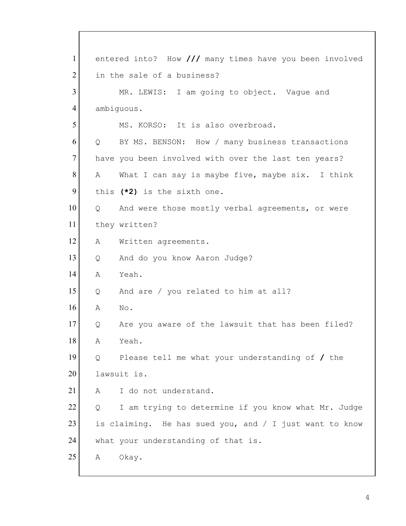1 entered into? How **///** many times have you been involved 2 in the sale of a business? 3 MR. LEWIS: I am going to object. Vaque and 4 ambiguous. 5 MS. KORSO: It is also overbroad. 6 Q BY MS. BENSON: How / many business transactions 7 have you been involved with over the last ten years? 8 A What I can say is maybe five, maybe six. I think 9 this (\*2) is the sixth one. 10 | Q And were those mostly verbal agreements, or were 11 they written? 12 | A Written agreements. 13 | Q And do you know Aaron Judge? 14 A Yeah. 15 Q And are / you related to him at all? 16 A No. 17 Q Are you aware of the lawsuit that has been filed? 18 A Yeah. 19 Q Please tell me what your understanding of **/** the 20 lawsuit is. 21 A I do not understand. 22 | Q I am trying to determine if you know what Mr. Judge 23 is claiming. He has sued you, and  $/$  I just want to know 24 what your understanding of that is. 25 A Okay.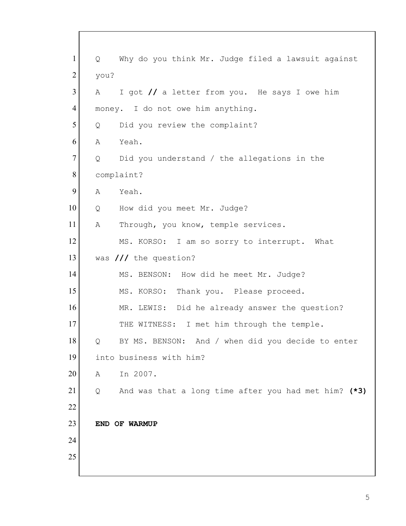| $\mathbf{1}$   | $Q \qquad \qquad$ | Why do you think Mr. Judge filed a lawsuit against   |
|----------------|-------------------|------------------------------------------------------|
| $\overline{2}$ | you?              |                                                      |
| 3              | A                 | I got // a letter from you. He says I owe him        |
| $\overline{4}$ |                   | money. I do not owe him anything.                    |
| 5              | Q                 | Did you review the complaint?                        |
| 6              | Α                 | Yeah.                                                |
| 7              | Q                 | Did you understand / the allegations in the          |
| 8              |                   | complaint?                                           |
| 9              | Α                 | Yeah.                                                |
| 10             | Q                 | How did you meet Mr. Judge?                          |
| 11             | Α                 | Through, you know, temple services.                  |
| 12             |                   | MS. KORSO: I am so sorry to interrupt. What          |
| 13             |                   | was /// the question?                                |
| 14             |                   | MS. BENSON: How did he meet Mr. Judge?               |
| 15             |                   | MS. KORSO: Thank you. Please proceed.                |
| 16             |                   | MR. LEWIS: Did he already answer the question?       |
| 17             |                   | THE WITNESS: I met him through the temple.           |
| 18             | Q                 | BY MS. BENSON: And / when did you decide to enter    |
| 19             |                   | into business with him?                              |
| 20             | Α                 | In 2007.                                             |
| 21             | Q                 | And was that a long time after you had met him? (*3) |
| 22             |                   |                                                      |
| 23             |                   | END OF WARMUP                                        |
| 24             |                   |                                                      |
| 25             |                   |                                                      |
|                |                   |                                                      |

 $\Gamma$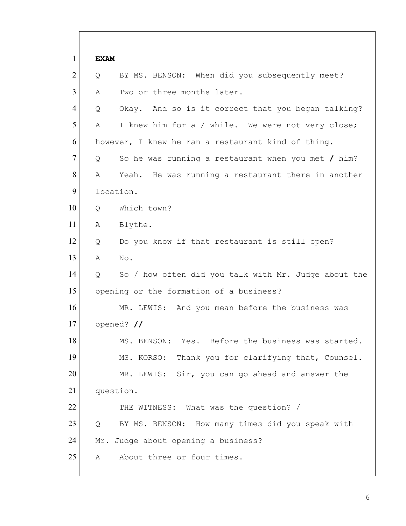| $\mathbf{1}$   | <b>EXAM</b> |                                                      |
|----------------|-------------|------------------------------------------------------|
| $\overline{2}$ | Q           | BY MS. BENSON: When did you subsequently meet?       |
| $\overline{3}$ | Α           | Two or three months later.                           |
| 4              | Q           | Okay. And so is it correct that you began talking?   |
| 5              | Α           | I knew him for a / while. We were not very close;    |
| 6              |             | however, I knew he ran a restaurant kind of thing.   |
| $\tau$         | Q           | So he was running a restaurant when you met $/$ him? |
| 8              | Α           | Yeah. He was running a restaurant there in another   |
| 9              | location.   |                                                      |
| 10             | Q           | Which town?                                          |
| 11             | A           | Blythe.                                              |
| 12             | Q           | Do you know if that restaurant is still open?        |
| 13             | Α           | No.                                                  |
| 14             | Q           | So / how often did you talk with Mr. Judge about the |
| 15             |             | opening or the formation of a business?              |
| 16             |             | MR. LEWIS: And you mean before the business was      |
| 17             |             | opened? $\frac{1}{\sqrt{2}}$                         |
| 18             |             | Yes. Before the business was started.<br>MS. BENSON: |
| 19             |             | MS. KORSO: Thank you for clarifying that, Counsel.   |
| 20             |             | MR. LEWIS: Sir, you can go ahead and answer the      |
| 21             | question.   |                                                      |
| 22             |             | THE WITNESS: What was the question? /                |
| 23             | Q           | BY MS. BENSON: How many times did you speak with     |
| 24             |             | Mr. Judge about opening a business?                  |
| 25             | A           | About three or four times.                           |

 $\mathsf{l}$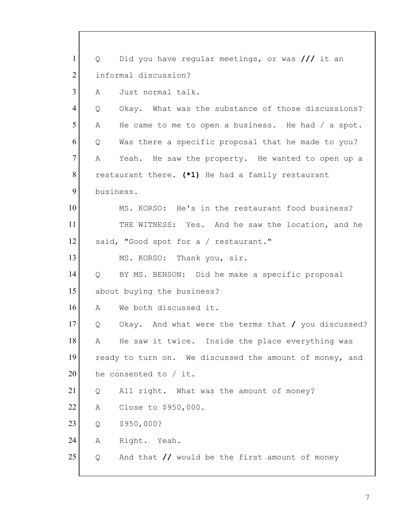| $\mathbf{1}$   | Q              | Did you have regular meetings, or was /// it an                  |
|----------------|----------------|------------------------------------------------------------------|
| $\overline{2}$ |                | informal discussion?                                             |
| 3              | A              | Just normal talk.                                                |
| 4              | Q              | Okay. What was the substance of those discussions?               |
| 5              | A              | He came to me to open a business. He had $/$ a spot.             |
| 6              | Q              | Was there a specific proposal that he made to you?               |
| 7              | Α              | Yeah. He saw the property. He wanted to open up a                |
| 8              |                | restaurant there. (*1) He had a family restaurant                |
| 9              | business.      |                                                                  |
| 10             |                | MS. KORSO: He's in the restaurant food business?                 |
| 11             |                | THE WITNESS: Yes. And he saw the location, and he                |
| 12             |                | said, "Good spot for a / restaurant."                            |
| 13             |                | MS. KORSO: Thank you, sir.                                       |
| 14             | $\overline{Q}$ | BY MS. BENSON: Did he make a specific proposal                   |
| 15             |                | about buying the business?                                       |
| 16             | А              | We both discussed it.                                            |
| 17             | Q              | Okay. And what were the terms that / you discussed?              |
| 18             | Α              | He saw it twice. Inside the place everything was                 |
| 19             |                | ready to turn on. We discussed the amount of money, and          |
| 20             |                | he consented to / it.                                            |
| 21             | Q              | All right. What was the amount of money?                         |
| 22             | Α              | Close to \$950,000.                                              |
| 23             | Q              | \$950,000?                                                       |
| 24             | Α              | Right. Yeah.                                                     |
| 25             | Q              | And that $\frac{1}{\sqrt{2}}$ would be the first amount of money |
|                |                |                                                                  |

 $\lceil$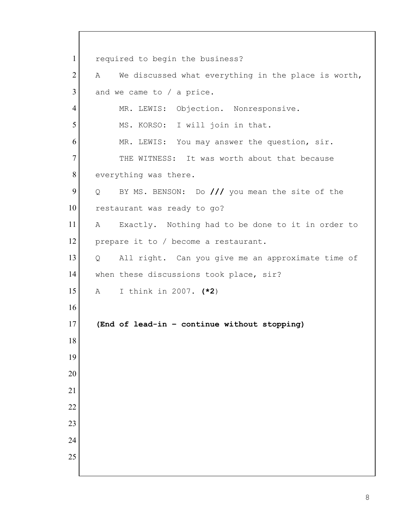1 required to begin the business? A We discussed what everything in the place is worth, and we came to / a price. 4 MR. LEWIS: Objection. Nonresponsive. 5 MS. KORSO: I will join in that. 6 MR. LEWIS: You may answer the question, sir. 7 THE WITNESS: It was worth about that because 8 everything was there. 9 Q BY MS. BENSON: Do /// you mean the site of the 10 restaurant was ready to go? A Exactly. Nothing had to be done to it in order to 12 prepare it to / become a restaurant. Q All right. Can you give me an approximate time of 14 when these discussions took place, sir? A I think in 2007. **(\*2**) **(End of lead-in – continue without stopping)**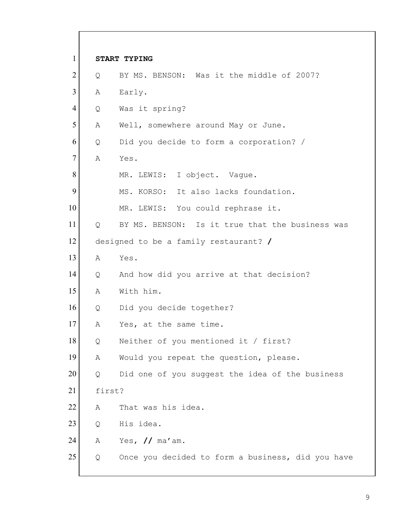1 **START TYPING** 2 Q BY MS. BENSON: Was it the middle of 2007? 3 A Early. 4 Q Was it spring? 5 A Well, somewhere around May or June.  $6$  Q Did you decide to form a corporation? / 7 A Yes. 8 MR. LEWIS: I object. Vaque. 9 MS. KORSO: It also lacks foundation. 10 MR. LEWIS: You could rephrase it. 11 Q BY MS. BENSON: Is it true that the business was 12 designed to be a family restaurant? **/** 13 A Yes. 14 Q And how did you arrive at that decision? 15 A With him. 16 Q Did you decide together? 17 A Yes, at the same time. 18 Q Neither of you mentioned it / first? 19 A Would you repeat the question, please. 20 | Q Did one of you suggest the idea of the business 21 first? 22 A That was his idea. 23 Q His idea. 24 A Yes, **//** ma'am. 25 | Q Once you decided to form a business, did you have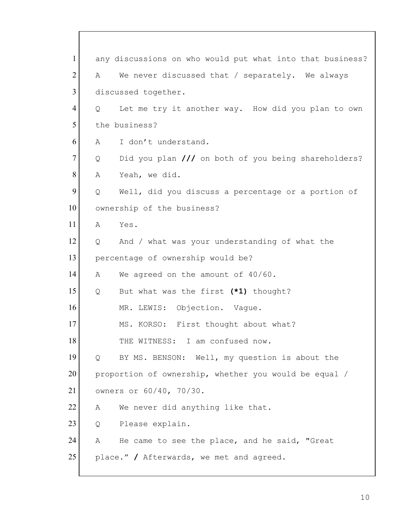1 any discussions on who would put what into that business? 2 A We never discussed that / separately. We always 3 discussed together. 4 Q Let me try it another way. How did you plan to own 5 the business? 6 A I don't understand. 7 Q Did you plan /// on both of you being shareholders? 8 A Yeah, we did.  $9$  Q Well, did you discuss a percentage or a portion of 10 ownership of the business?  $11$  A Yes.  $12$  Q And / what was your understanding of what the 13 percentage of ownership would be? 14 A We agreed on the amount of 40/60. 15 Q But what was the first **(\*1)** thought? 16 MR. LEWIS: Objection. Vague. 17 MS. KORSO: First thought about what? 18 THE WITNESS: I am confused now. 19 Q BY MS. BENSON: Well, my question is about the 20 proportion of ownership, whether you would be equal / 21 owners or 60/40, 70/30. 22 A We never did anything like that. 23 Q Please explain. 24 A He came to see the place, and he said, "Great 25 place." **/** Afterwards, we met and agreed.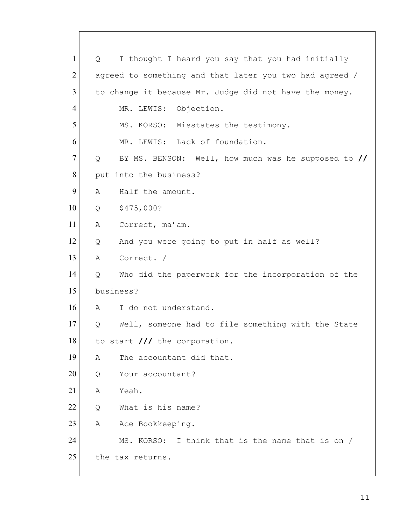1 Q I thought I heard you say that you had initially 2 agreed to something and that later you two had agreed / 3 to change it because Mr. Judge did not have the money. 4 MR. LEWIS: Objection. 5 MS. KORSO: Misstates the testimony. 6 MR. LEWIS: Lack of foundation. 7 Q BY MS. BENSON: Well, how much was he supposed to **//** 8 put into the business? 9 A Half the amount. 10 Q \$475,000? 11 A Correct, ma'am.  $12$  Q And you were going to put in half as well? 13 A Correct. / 14 Q Who did the paperwork for the incorporation of the 15 business? 16 A I do not understand. 17 Q Well, someone had to file something with the State 18 to start /// the corporation. 19 A The accountant did that. 20 Q Your accountant? 21 A Yeah. 22 Q What is his name? 23 A Ace Bookkeeping. 24 MS. KORSO: I think that is the name that is on / 25 the tax returns.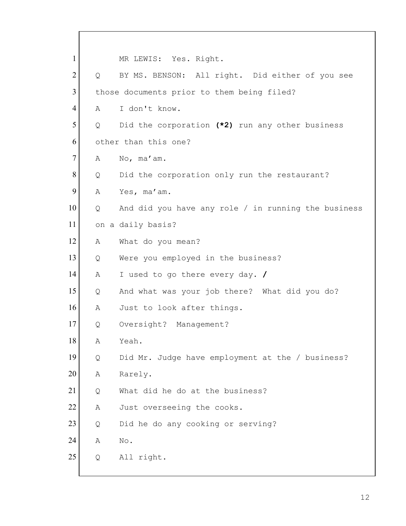1 MR LEWIS: Yes. Right. 2 Q BY MS. BENSON: All right. Did either of you see 3 those documents prior to them being filed? 4 A I don't know. 5 Q Did the corporation **(\*2)** run any other business 6 other than this one? 7 A No, ma'am. 8 Q Did the corporation only run the restaurant? 9 A Yes, ma'am. 10 | Q And did you have any role / in running the business 11 on a daily basis? 12 A What do you mean? 13 | Q Were you employed in the business? 14 A I used to go there every day. **/** 15 Q And what was your job there? What did you do? 16 A Just to look after things. 17 Q Oversight? Management? 18 A Yeah. 19 Q Did Mr. Judge have employment at the / business? 20 A Rarely. 21 O What did he do at the business? 22 A Just overseeing the cooks. 23 Q Did he do any cooking or serving? 24 A No. 25 Q All right.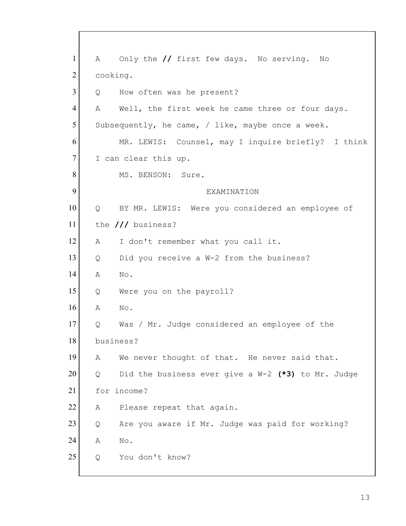| $\mathbf{1}$   |                   | A Only the // first few days. No serving.<br>No      |
|----------------|-------------------|------------------------------------------------------|
| $\overline{2}$ | cooking.          |                                                      |
| 3              | Q                 | How often was he present?                            |
| $\overline{4}$ | A                 | Well, the first week he came three or four days.     |
| 5              |                   | Subsequently, he came, / like, maybe once a week.    |
| 6              |                   | MR. LEWIS: Counsel, may I inquire briefly? I think   |
| $\tau$         |                   | I can clear this up.                                 |
| 8              |                   | MS. BENSON: Sure.                                    |
| 9              |                   | EXAMINATION                                          |
| 10             | $Q \qquad \qquad$ | BY MR. LEWIS: Were you considered an employee of     |
| 11             |                   | the /// business?                                    |
| 12             | A                 | I don't remember what you call it.                   |
| 13             | Q                 | Did you receive a W-2 from the business?             |
| 14             | A                 | No.                                                  |
| 15             | Q                 | Were you on the payroll?                             |
| 16             | Α                 | No.                                                  |
| 17             | Q                 | Was / Mr. Judge considered an employee of the        |
| 18             |                   | business?                                            |
| 19             | Α                 | We never thought of that. He never said that.        |
| 20             | Q                 | Did the business ever give a $W-2$ (*3) to Mr. Judge |
| 21             |                   | for income?                                          |
| 22             | Α                 | Please repeat that again.                            |
| 23             | Q                 | Are you aware if Mr. Judge was paid for working?     |
| 24             | Α                 | No.                                                  |
| 25             | Q                 | You don't know?                                      |
|                |                   |                                                      |

Г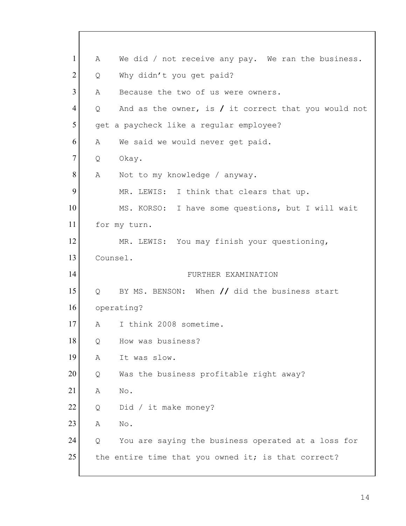| $\mathbf{1}$   | Α        | We did / not receive any pay. We ran the business.     |
|----------------|----------|--------------------------------------------------------|
| $\overline{2}$ | Q        | Why didn't you get paid?                               |
| 3              | A        | Because the two of us were owners.                     |
| $\overline{4}$ | Q        | And as the owner, is $/$ it correct that you would not |
| 5              |          | get a paycheck like a regular employee?                |
| 6              | A        | We said we would never get paid.                       |
| $\tau$         | Q        | Okay.                                                  |
| 8              | Α        | Not to my knowledge / anyway.                          |
| 9              |          | MR. LEWIS: I think that clears that up.                |
| 10             |          | MS. KORSO: I have some questions, but I will wait      |
| 11             |          | for my turn.                                           |
| 12             |          | MR. LEWIS: You may finish your questioning,            |
| 13             | Counsel. |                                                        |
| 14             |          | FURTHER EXAMINATION                                    |
| 15             | Q        | BY MS. BENSON: When // did the business start          |
| 16             |          | operating?                                             |
| 17             | A        | I think 2008 sometime.                                 |
| 18             | Q        | How was business?                                      |
| 19             | Α        | It was slow.                                           |
| 20             | Q        | Was the business profitable right away?                |
| 21             | Α        | No.                                                    |
| 22             | Q        | Did / it make money?                                   |
| 23             | Α        | No.                                                    |
| 24             | Q        | You are saying the business operated at a loss for     |
| 25             |          | the entire time that you owned it; is that correct?    |
|                |          |                                                        |

Г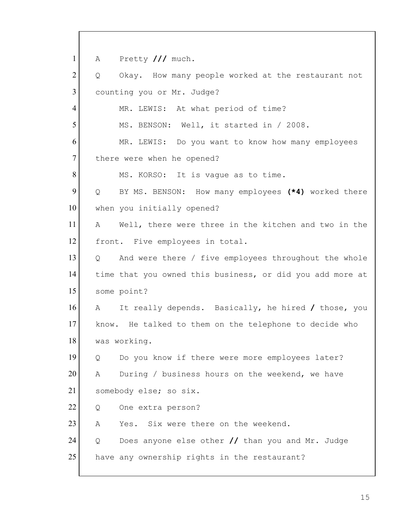1 A Pretty /// much.  $2$  Q Okay. How many people worked at the restaurant not 3 counting you or Mr. Judge? 4 MR. LEWIS: At what period of time? 5 MS. BENSON: Well, it started in / 2008. 6 MR. LEWIS: Do you want to know how many employees 7 there were when he opened? 8 MS. KORSO: It is vague as to time. 9 Q BY MS. BENSON: How many employees **(\*4)** worked there 10 when you initially opened? 11 A Well, there were three in the kitchen and two in the 12 front. Five employees in total. 13 | Q And were there / five employees throughout the whole 14 time that you owned this business, or did you add more at 15 some point? 16 A It really depends. Basically, he hired **/** those, you 17 know. He talked to them on the telephone to decide who 18 was working. 19 | Q Do you know if there were more employees later? 20 A During / business hours on the weekend, we have 21 somebody else; so six. 22 | Q One extra person? 23 A Yes. Six were there on the weekend. 24 Q Does anyone else other **//** than you and Mr. Judge 25 have any ownership rights in the restaurant?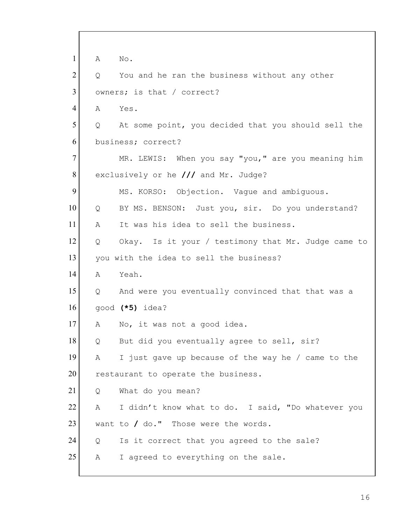1 A No.  $2$  Q You and he ran the business without any other 3 owners; is that / correct? 4 A Yes.  $5$  Q At some point, you decided that you should sell the 6 business; correct? 7 MR. LEWIS: When you say "you," are you meaning him 8 exclusively or he **///** and Mr. Judge? 9 MS. KORSO: Objection. Vaque and ambiguous. 10 Q BY MS. BENSON: Just you, sir. Do you understand? 11 A It was his idea to sell the business. 12 Q Okay. Is it your / testimony that Mr. Judge came to 13 you with the idea to sell the business? 14 A Yeah. 15 Q And were you eventually convinced that that was a 16 good **(\*5)** idea? 17 A No, it was not a good idea. 18 Q But did you eventually agree to sell, sir? 19 A I just gave up because of the way he / came to the 20 restaurant to operate the business. 21 Q What do you mean? 22 A I didn't know what to do. I said, "Do whatever you 23 want to / do." Those were the words.  $24$  Q Is it correct that you agreed to the sale? 25 A I agreed to everything on the sale.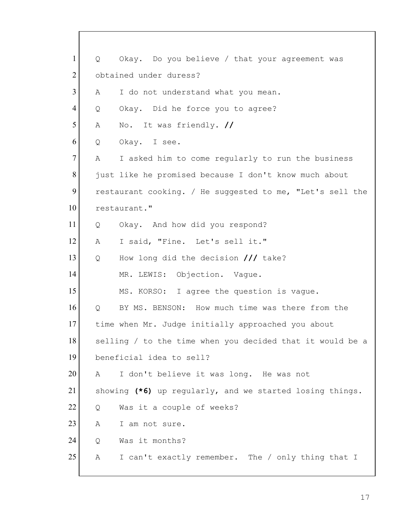| $\mathbf{1}$   | Q | Okay. Do you believe / that your agreement was            |
|----------------|---|-----------------------------------------------------------|
| $\overline{2}$ |   | obtained under duress?                                    |
| 3              | A | I do not understand what you mean.                        |
| $\overline{4}$ | Q | Okay. Did he force you to agree?                          |
| 5              | А | No. It was friendly. //                                   |
| 6              | Q | Okay. I see.                                              |
| $\tau$         | А | I asked him to come regularly to run the business         |
| 8              |   | just like he promised because I don't know much about     |
| 9              |   | restaurant cooking. / He suggested to me, "Let's sell the |
| 10             |   | restaurant."                                              |
| 11             | Q | Okay. And how did you respond?                            |
| 12             | А | I said, "Fine. Let's sell it."                            |
| 13             | Q | How long did the decision /// take?                       |
| 14             |   | MR. LEWIS: Objection. Vaque.                              |
| 15             |   | MS. KORSO: I agree the question is vague.                 |
| 16             | Q | BY MS. BENSON: How much time was there from the           |
| 17             |   | time when Mr. Judge initially approached you about        |
| 18             |   | selling / to the time when you decided that it would be a |
| 19             |   | beneficial idea to sell?                                  |
| 20             | Α | I don't believe it was long. He was not                   |
| 21             |   | showing (*6) up regularly, and we started losing things.  |
| 22             | Q | Was it a couple of weeks?                                 |
| 23             | Α | I am not sure.                                            |
| 24             | Q | Was it months?                                            |
| 25             | Α | I can't exactly remember. The / only thing that I         |
|                |   |                                                           |

 $\lceil$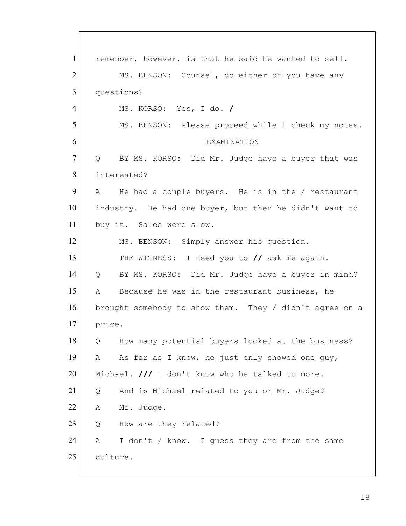1 remember, however, is that he said he wanted to sell. 2 MS. BENSON: Counsel, do either of you have any 3 questions? 4 MS. KORSO: Yes, I do. **/** 5 MS. BENSON: Please proceed while I check my notes. 6 EXAMINATION 7 Q BY MS. KORSO: Did Mr. Judge have a buyer that was 8 interested?  $9$  A He had a couple buyers. He is in the / restaurant 10 industry. He had one buyer, but then he didn't want to 11 buy it. Sales were slow. 12 MS. BENSON: Simply answer his question. 13 THE WITNESS: I need you to **//** ask me again. 14 Q BY MS. KORSO: Did Mr. Judge have a buyer in mind? 15 A Because he was in the restaurant business, he 16 brought somebody to show them. They / didn't agree on a 17 price. 18 Q How many potential buyers looked at the business? 19 A As far as I know, he just only showed one guy, 20 Michael. /// I don't know who he talked to more. 21 Q And is Michael related to you or Mr. Judge? 22 A Mr. Judge. 23 Q How are they related? 24 A I don't / know. I guess they are from the same 25 culture.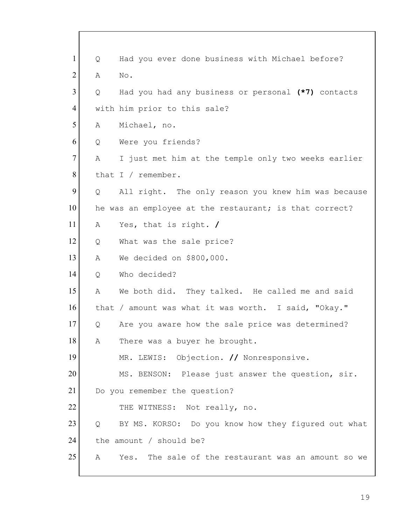| $\mathbf{1}$   | Q | Had you ever done business with Michael before?        |
|----------------|---|--------------------------------------------------------|
| $\overline{2}$ | Α | No.                                                    |
| $\overline{3}$ | Q | Had you had any business or personal (*7) contacts     |
| 4              |   | with him prior to this sale?                           |
| 5              | Α | Michael, no.                                           |
| 6              | Q | Were you friends?                                      |
| $\tau$         | Α | I just met him at the temple only two weeks earlier    |
| 8              |   | that I / remember.                                     |
| 9              | Q | All right. The only reason you knew him was because    |
| 10             |   | he was an employee at the restaurant; is that correct? |
| 11             | Α | Yes, that is right. /                                  |
| 12             | Q | What was the sale price?                               |
| 13             | Α | We decided on \$800,000.                               |
| 14             | Q | Who decided?                                           |
| 15             | Α | We both did. They talked. He called me and said        |
| 16             |   | that / amount was what it was worth. I said, "Okay."   |
| 17             | Q | Are you aware how the sale price was determined?       |
| 18             | Α | There was a buyer he brought.                          |
| 19             |   | MR. LEWIS: Objection. // Nonresponsive.                |
| 20             |   | MS. BENSON: Please just answer the question, sir.      |
| 21             |   | Do you remember the question?                          |
| 22             |   | THE WITNESS: Not really, no.                           |
| 23             | Q | BY MS. KORSO: Do you know how they figured out what    |
| 24             |   | the amount / should be?                                |
| 25             | Α | The sale of the restaurant was an amount so we<br>Yes. |

 $\Gamma$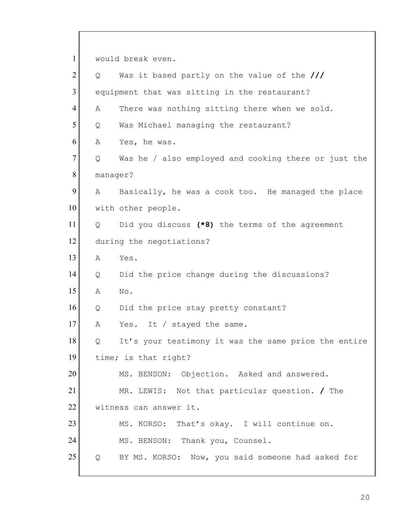1 would break even. 2 Q Was it based partly on the value of the /// 3 equipment that was sitting in the restaurant? 4 A There was nothing sitting there when we sold. 5 Q Was Michael managing the restaurant? 6 A Yes, he was. 7 | Q Was he / also employed and cooking there or just the 8 manager? 9 A Basically, he was a cook too. He managed the place 10 with other people. 11 Q Did you discuss **(\*8)** the terms of the agreement 12 during the negotiations? 13 A Yes. 14 Q Did the price change during the discussions? 15 A No. 16 Q Did the price stay pretty constant? 17 A Yes. It / stayed the same. 18 Q It's your testimony it was the same price the entire 19 time; is that right? 20 MS. BENSON: Objection. Asked and answered. 21 MR. LEWIS: Not that particular question. **/** The 22 witness can answer it. 23 MS. KORSO: That's okay. I will continue on. 24 MS. BENSON: Thank you, Counsel. 25 Q BY MS. KORSO: Now, you said someone had asked for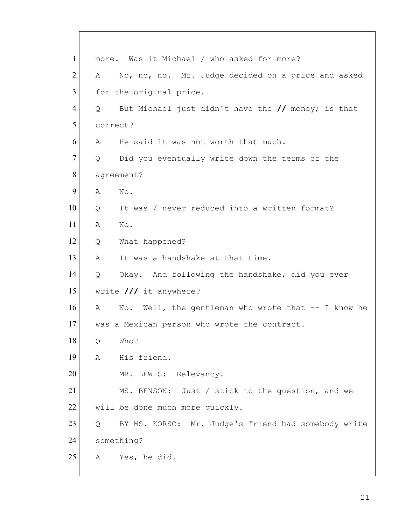| $\mathbf{1}$   |          | more. Was it Michael / who asked for more?          |
|----------------|----------|-----------------------------------------------------|
| $\overline{2}$ | A        | No, no, no. Mr. Judge decided on a price and asked  |
| 3              |          | for the original price.                             |
| 4              | Q        | But Michael just didn't have the // money; is that  |
| 5              | correct? |                                                     |
| 6              | A        | He said it was not worth that much.                 |
| $\tau$         | Q        | Did you eventually write down the terms of the      |
| 8              |          | agreement?                                          |
| 9              | Α        | No.                                                 |
| 10             | Q        | It was / never reduced into a written format?       |
| 11             | Α        | $\mathrm{No}$ .                                     |
| 12             | Q        | What happened?                                      |
| 13             | Α        | It was a handshake at that time.                    |
| 14             | Q        | Okay. And following the handshake, did you ever     |
| 15             |          | write $//$ it anywhere?                             |
| 16             | A        | No. Well, the gentleman who wrote that -- I know he |
| 17             |          | was a Mexican person who wrote the contract.        |
| 18             | Q        | Who?                                                |
| 19             | Α        | His friend.                                         |
| 20             |          | Relevancy.<br>MR. LEWIS:                            |
| 21             |          | MS. BENSON: Just / stick to the question, and we    |
| 22             |          | will be done much more quickly.                     |
| 23             | Q        | BY MS. KORSO: Mr. Judge's friend had somebody write |
| 24             |          | something?                                          |
| 25             | Α        | Yes, he did.                                        |
|                |          |                                                     |

 $\lceil$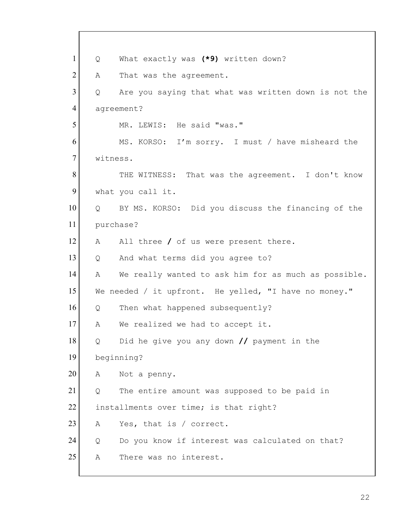1 Q What exactly was **(\*9)** written down? 2 A That was the agreement.  $3$  Q Are you saying that what was written down is not the 4 agreement? 5 MR. LEWIS: He said "was." 6 MS. KORSO: I'm sorry. I must / have misheard the 7 witness. 8 THE WITNESS: That was the agreement. I don't know 9 what you call it. 10 Q BY MS. KORSO: Did you discuss the financing of the 11 purchase? 12 A All three / of us were present there. 13 | Q And what terms did you agree to? 14 A We really wanted to ask him for as much as possible. 15 We needed / it upfront. He yelled, "I have no money." 16 Q Then what happened subsequently? 17 A We realized we had to accept it. 18 Q Did he give you any down **//** payment in the 19 beginning? 20 A Not a penny.  $21$  Q The entire amount was supposed to be paid in 22 installments over time; is that right? 23 A Yes, that is / correct. 24 Q Do you know if interest was calculated on that? 25 A There was no interest.